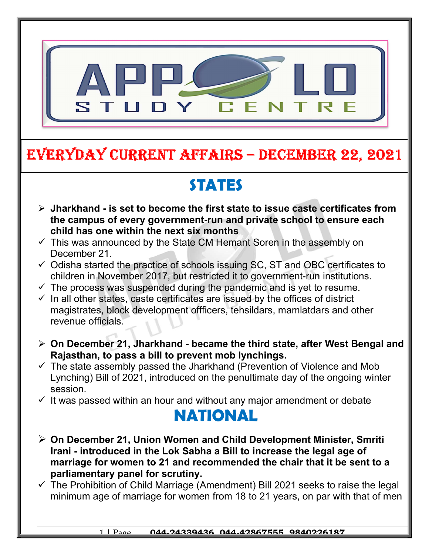

## EVERYDAY CURRENT AFFAIRS – DECEMBER 22, 2021

# **STATES**

- $\triangleright$  Jharkhand is set to become the first state to issue caste certificates from the campus of every government-run and private school to ensure each child has one within the next six months
- $\checkmark$  This was announced by the State CM Hemant Soren in the assembly on December 21.

-

- $\checkmark$  Odisha started the practice of schools issuing SC, ST and OBC certificates to children in November 2017, but restricted it to government-run institutions.
- $\checkmark$  The process was suspended during the pandemic and is yet to resume.
- $\checkmark$  In all other states, caste certificates are issued by the offices of district magistrates, block development offficers, tehsildars, mamlatdars and other revenue officials.
- $\triangleright$  On December 21, Jharkhand became the third state, after West Bengal and Rajasthan, to pass a bill to prevent mob lynchings.
- $\checkmark$  The state assembly passed the Jharkhand (Prevention of Violence and Mob Lynching) Bill of 2021, introduced on the penultimate day of the ongoing winter session.
- $\checkmark$  It was passed within an hour and without any major amendment or debate

### NATIONAL

- $\triangleright$  On December 21, Union Women and Child Development Minister, Smriti Irani - introduced in the Lok Sabha a Bill to increase the legal age of marriage for women to 21 and recommended the chair that it be sent to a parliamentary panel for scrutiny.
- $\checkmark$  The Prohibition of Child Marriage (Amendment) Bill 2021 seeks to raise the legal minimum age of marriage for women from 18 to 21 years, on par with that of men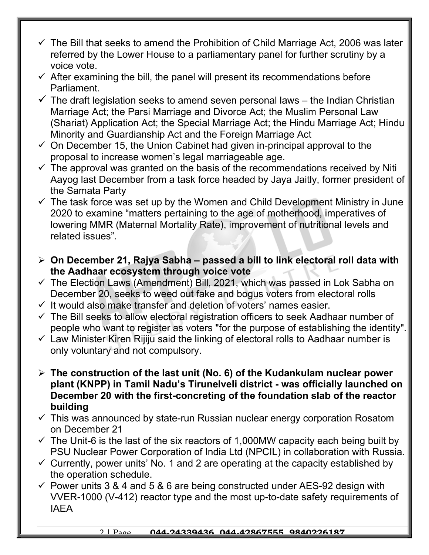- $\checkmark$  The Bill that seeks to amend the Prohibition of Child Marriage Act, 2006 was later referred by the Lower House to a parliamentary panel for further scrutiny by a voice vote.
- $\checkmark$  After examining the bill, the panel will present its recommendations before Parliament.
- $\checkmark$  The draft legislation seeks to amend seven personal laws the Indian Christian Marriage Act; the Parsi Marriage and Divorce Act; the Muslim Personal Law (Shariat) Application Act; the Special Marriage Act; the Hindu Marriage Act; Hindu Minority and Guardianship Act and the Foreign Marriage Act
- $\checkmark$  On December 15, the Union Cabinet had given in-principal approval to the proposal to increase women's legal marriageable age.
- $\checkmark$  The approval was granted on the basis of the recommendations received by Niti Aayog last December from a task force headed by Jaya Jaitly, former president of the Samata Party
- $\checkmark$  The task force was set up by the Women and Child Development Ministry in June 2020 to examine "matters pertaining to the age of motherhood, imperatives of lowering MMR (Maternal Mortality Rate), improvement of nutritional levels and related issues".
- $\triangleright$  On December 21, Rajya Sabha passed a bill to link electoral roll data with the Aadhaar ecosystem through voice vote
- $\checkmark$  The Election Laws (Amendment) Bill, 2021, which was passed in Lok Sabha on December 20, seeks to weed out fake and bogus voters from electoral rolls
- $\checkmark$  It would also make transfer and deletion of voters' names easier.
- $\checkmark$  The Bill seeks to allow electoral registration officers to seek Aadhaar number of people who want to register as voters "for the purpose of establishing the identity".
- $\checkmark$  Law Minister Kiren Rijiju said the linking of electoral rolls to Aadhaar number is only voluntary and not compulsory.
- $\triangleright$  The construction of the last unit (No. 6) of the Kudankulam nuclear power plant (KNPP) in Tamil Nadu's Tirunelveli district - was officially launched on December 20 with the first-concreting of the foundation slab of the reactor building
- $\checkmark$  This was announced by state-run Russian nuclear energy corporation Rosatom on December 21
- $\checkmark$  The Unit-6 is the last of the six reactors of 1,000MW capacity each being built by PSU Nuclear Power Corporation of India Ltd (NPCIL) in collaboration with Russia.
- $\checkmark$  Currently, power units' No. 1 and 2 are operating at the capacity established by the operation schedule.
- $\checkmark$  Power units 3 & 4 and 5 & 6 are being constructed under AES-92 design with VVER-1000 (V-412) reactor type and the most up-to-date safety requirements of IAEA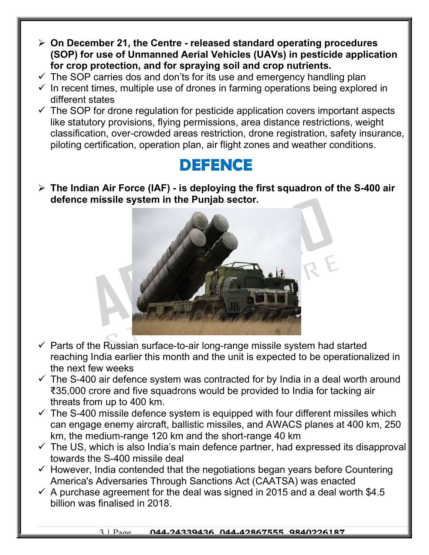- $\triangleright$  On December 21, the Centre released standard operating procedures (SOP) for use of Unmanned Aerial Vehicles (UAVs) in pesticide application for crop protection, and for spraying soil and crop nutrients.
- $\checkmark$  The SOP carries dos and don'ts for its use and emergency handling plan
- $\checkmark$  In recent times, multiple use of drones in farming operations being explored in different states
- $\checkmark$  The SOP for drone regulation for pesticide application covers important aspects like statutory provisions, flying permissions, area distance restrictions, weight classification, over-crowded areas restriction, drone registration, safety insurance, piloting certification, operation plan, air flight zones and weather conditions.

### DEFENCE

 $\triangleright$  The Indian Air Force (IAF) - is deploying the first squadron of the S-400 air defence missile system in the Punjab sector.



- $\checkmark$  Parts of the Russian surface-to-air long-range missile system had started reaching India earlier this month and the unit is expected to be operationalized in the next few weeks
- $\checkmark$  The S-400 air defence system was contracted for by India in a deal worth around ₹35,000 crore and five squadrons would be provided to India for tacking air threats from up to 400 km.
- $\checkmark$  The S-400 missile defence system is equipped with four different missiles which can engage enemy aircraft, ballistic missiles, and AWACS planes at 400 km, 250 km, the medium-range 120 km and the short-range 40 km
- $\checkmark$  The US, which is also India's main defence partner, had expressed its disapproval towards the S-400 missile deal
- $\checkmark$  However, India contended that the negotiations began years before Countering America's Adversaries Through Sanctions Act (CAATSA) was enacted
- $\checkmark$  A purchase agreement for the deal was signed in 2015 and a deal worth \$4.5 billion was finalised in 2018.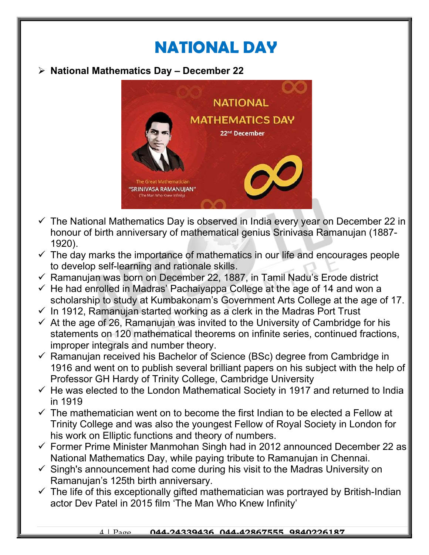# NATIONAL DAY

#### $\triangleright$  National Mathematics Day - December 22



- $\checkmark$  The National Mathematics Day is observed in India every year on December 22 in honour of birth anniversary of mathematical genius Srinivasa Ramanujan (1887- 1920).
- $\checkmark$  The day marks the importance of mathematics in our life and encourages people to develop self-learning and rationale skills.
- $\checkmark$  Ramanujan was born on December 22, 1887, in Tamil Nadu's Erode district
- $\checkmark$  He had enrolled in Madras' Pachaiyappa College at the age of 14 and won a scholarship to study at Kumbakonam's Government Arts College at the age of 17.
- $\checkmark$  In 1912, Ramanujan started working as a clerk in the Madras Port Trust
- $\checkmark$  At the age of 26, Ramanujan was invited to the University of Cambridge for his statements on 120 mathematical theorems on infinite series, continued fractions, improper integrals and number theory.
- $\checkmark$  Ramanujan received his Bachelor of Science (BSc) degree from Cambridge in 1916 and went on to publish several brilliant papers on his subject with the help of Professor GH Hardy of Trinity College, Cambridge University
- $\checkmark$  He was elected to the London Mathematical Society in 1917 and returned to India in 1919
- $\checkmark$  The mathematician went on to become the first Indian to be elected a Fellow at Trinity College and was also the youngest Fellow of Royal Society in London for his work on Elliptic functions and theory of numbers.
- $\checkmark$  Former Prime Minister Manmohan Singh had in 2012 announced December 22 as National Mathematics Day, while paying tribute to Ramanujan in Chennai.
- $\checkmark$  Singh's announcement had come during his visit to the Madras University on Ramanujan's 125th birth anniversary.
- $\checkmark$  The life of this exceptionally gifted mathematician was portrayed by British-Indian actor Dev Patel in 2015 film 'The Man Who Knew Infinity'